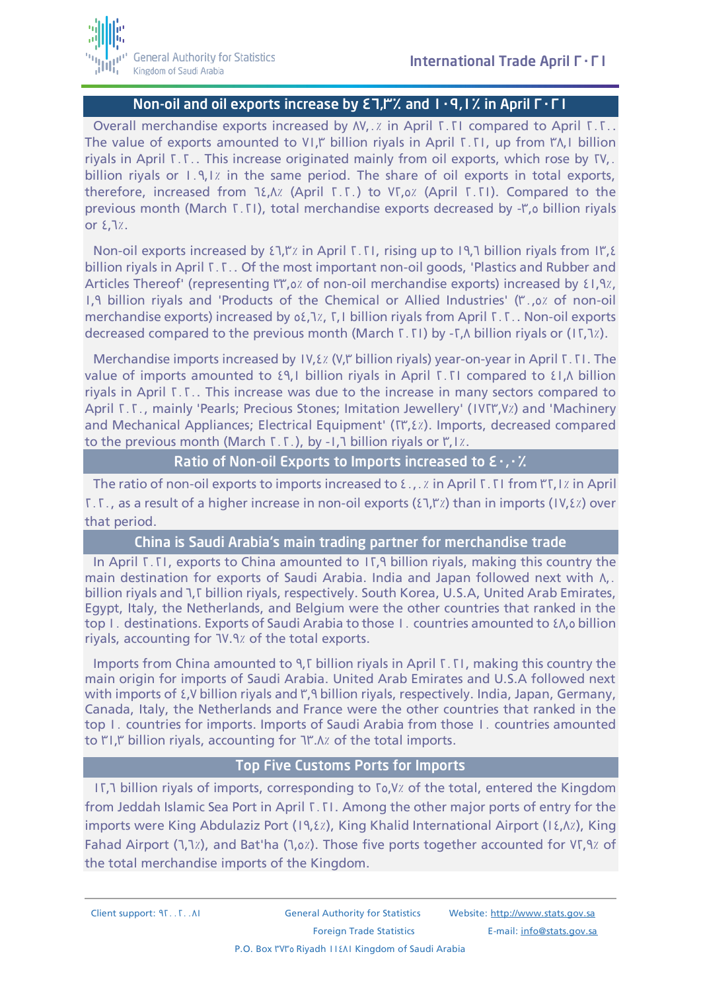## Non-oil and oil exports increase by  $\Sigma$ ,  $\Gamma$ . and  $1\cdot$  9, 1% in April  $\Gamma\cdot\Gamma$  I

Overall merchandise exports increased by AV. . Z in April T. TI compared to April T. T. The value of exports amounted to VI," billion riyals in April  $\Gamma$ . TI, up from  $\Gamma\Lambda$ , I billion riyals in April  $\Sigma$ . This increase originated mainly from oil exports, which rose by  $\Sigma$ . billion riyals or  $1.9.1$ ; in the same period. The share of oil exports in total exports, therefore, increased from  $1\xi$ , A<sub>x</sub> (April  $\Gamma$ . T.) to VT,  $\alpha$  (April T. TI). Compared to the previous month (March  $[T, T]$ ), total merchandise exports decreased by - $T$ , billion riyals or  $\Sigma$ , 1%.

Non-oil exports increased by  $\Sigma$ , I'', in April 1.1, rising up to 19.7 billion riyals from 11.8 billion riyals in April T.T.. Of the most important non-oil goods, 'Plastics and Rubber and Articles Thereof' (representing "I", o. z of non-oil merchandise exports) increased by £1.9%, 1.9 billion riyals and 'Products of the Chemical or Allied Industries' ("...o. of non-oil merchandise exports) increased by  $\delta$  5.1%,  $\Gamma$ , I billion riyals from April  $\Gamma$ .  $\Gamma$ . Non-oil exports decreased compared to the previous month (March  $\Gamma$ ,  $\Gamma$ I) by - $\Gamma$ , N billion rivals or (1 $\Gamma$ , $\Gamma$ ).

Merchandise imports increased by  $IV, \&i$  (V," billion riyals) year-on-year in April  $I, I$ . The value of imports amounted to  $\{9,1\}$  billion riyals in April 1.11 compared to  $\{1,0\}$  billion riyals in April  $\Sigma$ . This increase was due to the increase in many sectors compared to April T.T., mainly 'Pearls; Precious Stones; Imitation Jewellery' (IVT, Y) and 'Machinery and Mechanical Appliances; Electrical Equipment' ( $\Gamma$ , $\ell$ , $\ell$ ). Imports, decreased compared to the previous month (March  $\Gamma$ .  $\Gamma$ .), by -1.7 billion riyals or  $\Gamma$ , 1%.

#### Ratio of Non-oil Exports to Imports increased to  $\epsilon_1$ .

The ratio of non-oil exports to imports increased to  $\epsilon_{\perp}$ ,  $\alpha$  in April 1.1 from  $\mathsf{FT}, 1\alpha$  in April  $\Sigma$ .  $\Sigma$ ., as a result of a higher increase in non-oil exports ( $\Sigma$ ,  $\Gamma$  *z*) than in imports (1V, $\Sigma$ *z*) over that period.

#### China is Saudi Arabia's main trading partner for merchandise trade

In April 1.1. exports to China amounted to 11.9 billion rivals, making this country the main destination for exports of Saudi Arabia. India and Japan followed next with  $\Lambda$ . billion riyals and 1, T billion riyals, respectively. South Korea, U.S.A, United Arab Emirates, Egypt, Italy, the Netherlands, and Belgium were the other countries that ranked in the top I. destinations. Exports of Saudi Arabia to those I. countries amounted to  $\ell \Lambda$ , billion riyals, accounting for TV.9% of the total exports.

Imports from China amounted to 9. $\Gamma$  billion rivals in April  $\Gamma$ .  $\Gamma$  making this country the main origin for imports of Saudi Arabia. United Arab Emirates and U.S.A followed next with imports of  $\Sigma$ , Y billion riyals and ", A billion riyals, respectively. India, Japan, Germany, Canada, Italy, the Netherlands and France were the other countries that ranked in the top I. countries for imports. Imports of Saudi Arabia from those I. countries amounted to "I," billion rivals, accounting for  $\frac{1}{2}$ ". A. is of the total imports.

#### Top Five Customs Ports for Imports

11.7 billion riyals of imports, corresponding to 10, Y<sub>7</sub> of the total, entered the Kingdom from Jeddah Islamic Sea Port in April 1.1. Among the other major ports of entry for the imports were King Abdulaziz Port (19,  $\ell$  *x*), King Khalid International Airport (1 $\ell$ ,  $\Lambda$ *x*), King Fahad Airport (1,1%), and Bat'ha (1,0%). Those five ports together accounted for VI,9% of the total merchandise imports of the Kingdom.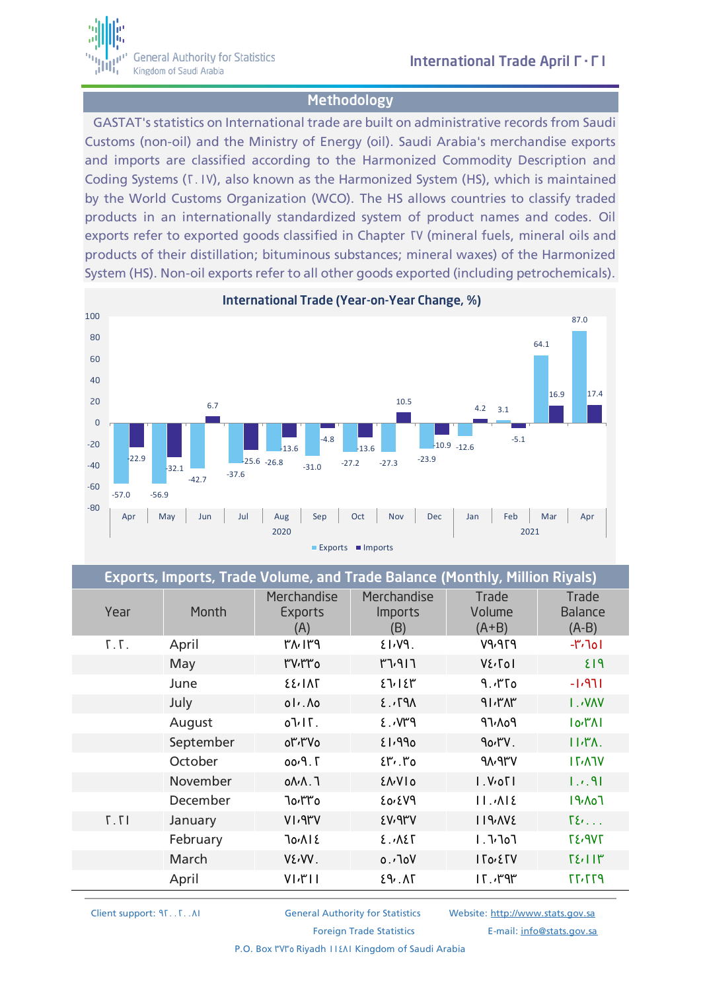

## Methodology

GASTAT's statistics on International trade are built on administrative records from Saudi Customs (non-oil) and the Ministry of Energy (oil). Saudi Arabia's merchandise exports and imports are classified according to the Harmonized Commodity Description and Coding Systems (T. IV), also known as the Harmonized System (HS), which is maintained by the World Customs Organization (WCO). The HS allows countries to classify traded products in an internationally standardized system of product names and codes. Oil exports refer to exported goods classified in Chapter TV (mineral fuels, mineral oils and products of their distillation; bituminous substances; mineral waxes) of the Harmonized System (HS). Non-oil exports refer to all other goods exported (including petrochemicals).



| Exports, Imports, Trade Volume, and Trade Balance (Monthly, Million Riyals) |           |                                      |                                      |                            |                                    |  |  |
|-----------------------------------------------------------------------------|-----------|--------------------------------------|--------------------------------------|----------------------------|------------------------------------|--|--|
| Year                                                                        | Month     | Merchandise<br><b>Exports</b><br>(A) | Merchandise<br><b>Imports</b><br>(B) | Trade<br>Volume<br>$(A+B)$ | Trade<br><b>Balance</b><br>$(A-B)$ |  |  |
| T.T.                                                                        | April     | ۳۸۰۱۳۹                               | $21.19$ .                            | P7P <sub>Y</sub> PV        | $-17.701$                          |  |  |
|                                                                             | May       | <b>۳V</b> ,۳۳0                       | T1917                                | V٤, Tol                    | <b>E13</b>                         |  |  |
|                                                                             | June      | <b>EE, INT</b>                       | 27/18                                | 9.750                      | $-1.971$                           |  |  |
|                                                                             | July      | $01.$ $\Lambda$ 0                    | AP7.3                                | 91.71                      | <b>I.WAV</b>                       |  |  |
|                                                                             | August    | $J\cup$ $\Gamma$ .                   | $P''V \cdot 3$                       | ۹٦٠٨٥٩                     | $I_0$ ۳۸I                          |  |  |
|                                                                             | September | or, rvo                              | <b>8P.13</b>                         | 90'                        | H/T                                |  |  |
|                                                                             | October   | 7. P.00                              | $E''$ , $r_0$                        | <b>AN.APV</b>              | $IT^{\prime}$                      |  |  |
|                                                                             | November  | $0\Lambda\Lambda$ . T                | <b>ENVIO</b>                         | I. V.                      | 1.7.91                             |  |  |
|                                                                             | December  | ٦٥،٣٣٥                               | <b>EDIZIOS</b>                       | $11.7$ $\lambda$           | IAv <sub>0</sub>                   |  |  |
| 17.7                                                                        | January   | V1.9rV                               | <b>EV. 9MY</b>                       | 119.002                    | $\Sigma$                           |  |  |
|                                                                             | February  | <b>Jo</b> , 12                       | 2.78                                 | I.7707                     | <b>TE.9VT</b>                      |  |  |
|                                                                             | March     | VENV.                                | ∨ه٦، ه                               | $I$ To <sub>'</sub> $E$ TV | $T\S$ $I$ $I$ $I^*$                |  |  |
|                                                                             | April     | $V[\sqrt{r}]\$                       | 29.1                                 | 15.79                      | P17.77                             |  |  |

Client support: 91. . T. . Al **General Authority for Statistics** Website: [http://www.stats.gov.sa](http://www.stats.gov.sa/)

Foreign Trade Statistics E-mail: [info@stats.gov.sa](mailto:info@stats.gov.sa)

P.O. Box I'VI'' Riyadh 11181 Kingdom of Saudi Arabia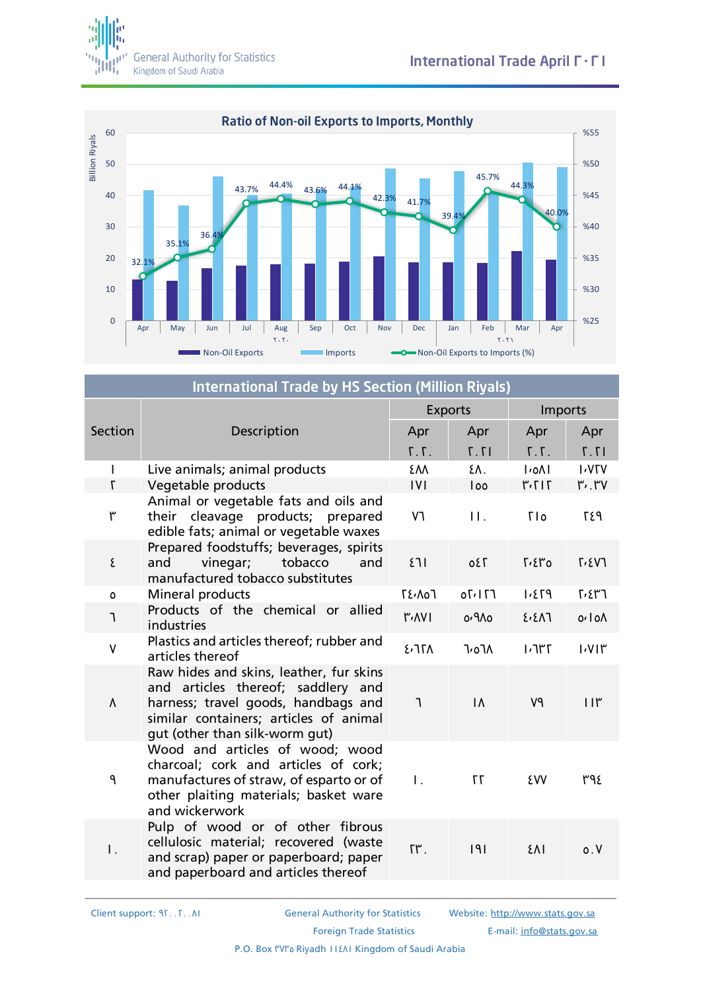



| <b>International Trade by HS Section (Million Riyals)</b> |                                                                                                                                                                                                  |                |               |                                         |                          |  |  |
|-----------------------------------------------------------|--------------------------------------------------------------------------------------------------------------------------------------------------------------------------------------------------|----------------|---------------|-----------------------------------------|--------------------------|--|--|
|                                                           | Description                                                                                                                                                                                      | <b>Exports</b> |               | Imports                                 |                          |  |  |
| Section                                                   |                                                                                                                                                                                                  | Apr            | Apr           | Apr                                     | Apr                      |  |  |
|                                                           |                                                                                                                                                                                                  | $T \cdot T$ .  | T.T           | T.7.7                                   | 17.7                     |  |  |
|                                                           | Live animals; animal products                                                                                                                                                                    | ٤M             | ٤Λ.           | $I$ <sub>0</sub> $\Lambda$ <sub>I</sub> | <b>I</b> <sub>V</sub> IV |  |  |
| $\mathsf{L}$                                              | Vegetable products                                                                                                                                                                               | IVI            | loo           | 717.7                                   | $r$ . $rv$               |  |  |
| ٣                                                         | Animal or vegetable fats and oils and<br>cleavage products; prepared<br>their<br>edible fats; animal or vegetable waxes                                                                          | V٦             | $\Pi$ .       | <b>TIO</b>                              | P37                      |  |  |
| ٤                                                         | Prepared foodstuffs; beverages, spirits<br>vinegar;<br>tobacco<br>and<br>and<br>manufactured tobacco substitutes                                                                                 | 511            | 0 E T         | $\Gamma$ , $\epsilon$ ro                | $\Gamma$ <sub>2</sub> V] |  |  |
| $\mathsf{o}\,$                                            | Mineral products                                                                                                                                                                                 | <b>TE.A07</b>  | 071170        | P73.1                                   | 5.57                     |  |  |
| ٦                                                         | Products of the chemical or allied<br>industries                                                                                                                                                 | <b>۳۰۸۷۱</b>   | <b>O/9/10</b> | 2.21                                    | 0.10 <sub>0</sub>        |  |  |
| $\mathsf{V}$                                              | Plastics and articles thereof; rubber and<br>articles thereof                                                                                                                                    | 277A           | <b>7,07A</b>  | 771'                                    | 1.11                     |  |  |
| Λ                                                         | Raw hides and skins, leather, fur skins<br>and articles thereof; saddlery and<br>harness; travel goods, handbags and<br>similar containers; articles of animal<br>gut (other than silk-worm gut) | $\mathcal{L}$  | $\Lambda$     | V٩                                      | $11\mu$                  |  |  |
| ٩                                                         | Wood and articles of wood; wood<br>charcoal; cork and articles of cork;<br>manufactures of straw, of esparto or of<br>other plaiting materials; basket ware<br>and wickerwork                    | $\mathbf{L}$   | 77            | ٤W                                      | ٣٩٤                      |  |  |
| Ι.                                                        | Pulp of wood or of other fibrous<br>cellulosic material; recovered (waste<br>and scrap) paper or paperboard; paper<br>and paperboard and articles thereof                                        | ٢٣.            | 9             | ٤٨Ι                                     | 0. V                     |  |  |

Client support: 920020081 General Authority for Statistics Website: [http://www.stats.gov.sa](http://www.stats.gov.sa/) Foreign Trade Statistics **E-mail:** [info@stats.gov.sa](mailto:info@stats.gov.sa) P.O. Box I'VI'' Riyadh II {AI Kingdom of Saudi Arabia